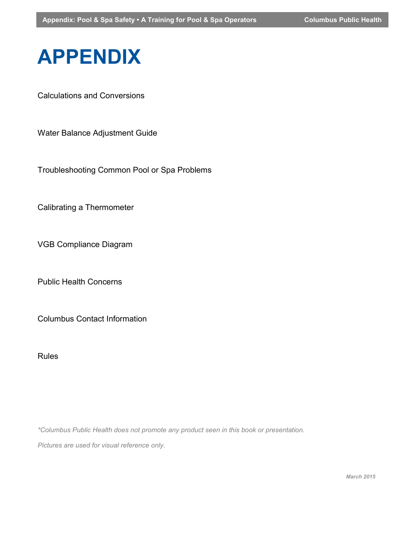# **APPENDIX**

Calculations and Conversions

Water Balance Adjustment Guide

Troubleshooting Common Pool or Spa Problems

Calibrating a Thermometer

VGB Compliance Diagram

Public Health Concerns

Columbus Contact Information

Rules

*\*Columbus Public Health does not promote any product seen in this book or presentation.*

*Pictures are used for visual reference only.*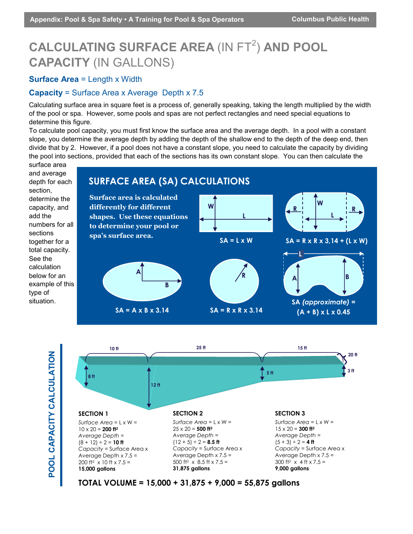# **CALCULATING SURFACE AREA (IN FT<sup>2</sup>) AND POOL CAPACITY** (IN GALLONS)

#### **Surface Area = Length x Width**

#### **Capacity** = Surface Area x Average Depth x 7.5

Calculating surface area in square feet is a process of, generally speaking, taking the length multiplied by the width of the pool or spa. However, some pools and spas are not perfect rectangles and need special equations to determine this figure.

To calculate pool capacity, you must first know the surface area and the average depth. In a pool with a constant slope, you determine the average depth by adding the depth of the shallow end to the depth of the deep end, then divide that by 2. However, if a pool does not have a constant slope, you need to calculate the capacity by dividing the pool into sections, provided that each of the sections has its own constant slope. You can then calculate the





**TOTAL VOLUME = 15,000 + 31,875 + 9,000 = 55,875 gallons**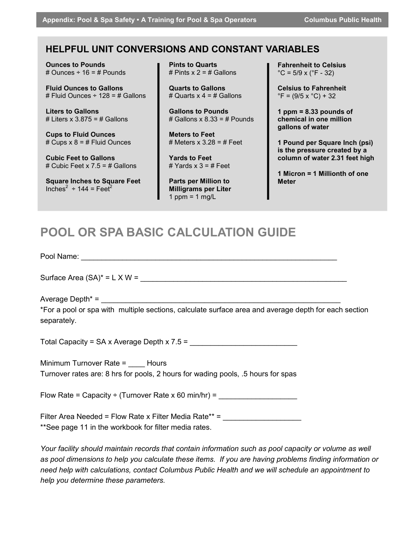**Appendix: Pool & Spa Safety • A Training for Pool & Spa Operators Columbus Public Health**

# **HELPFUL UNIT CONVERSIONS AND CONSTANT VARIABLES**

**Ounces to Pounds** # Ounces  $\div$  16 = # Pounds

**Fluid Ounces to Gallons** # Fluid Ounces  $\div$  128 = # Gallons

**Liters to Gallons** # Liters  $x$  3.875 = # Gallons

**Cups to Fluid Ounces** # Cups  $x$  8 = # Fluid Ounces

**Cubic Feet to Gallons** # Cubic Feet x 7.5 = # Gallons

**Square Inches to Square Feet** Inches<sup>2</sup> ÷ 144 = Feet<sup>2</sup>

**Pints to Quarts** # Pints  $x = 2 = 4$  Gallons

**Quarts to Gallons** # Quarts  $x$  4 = # Gallons

**Gallons to Pounds** # Gallons  $x 8.33 = #$  Pounds

**Meters to Feet** # Meters  $x$  3.28 = # Feet

**Yards to Feet** # Yards  $x$  3 = # Feet

**Parts per Million to Milligrams per Liter** 1 ppm =  $1$  mg/L

**Fahrenheit to Celsius**  $^{\circ}$ C = 5/9 x ( $^{\circ}$ F - 32)

**Celsius to Fahrenheit**  $\degree$ F = (9/5 x  $\degree$ C) + 32

**1 ppm = 8.33 pounds of chemical in one million gallons of water**

**1 Pound per Square Inch (psi) is the pressure created by a column of water 2.31 feet high**

**1 Micron = 1 Millionth of one Meter**

# **POOL OR SPA BASIC CALCULATION GUIDE**

Pool Name:

Surface Area  $(SA)^* = L \times W = \_$ 

Average Depth\*  $=$ 

\*For a pool or spa with multiple sections, calculate surface area and average depth for each section separately.

Total Capacity =  $SA \times Average$  Depth  $\times 7.5 =$ 

Minimum Turnover Rate = Hours Turnover rates are: 8 hrs for pools, 2 hours for wading pools, .5 hours for spas

Flow Rate = Capacity ÷ (Turnover Rate x 60 min/hr) =

Filter Area Needed = Flow Rate x Filter Media Rate\*\* = \*\*See page 11 in the workbook for filter media rates.

*Your facility should maintain records that contain information such as pool capacity or volume as well as pool dimensions to help you calculate these items. If you are having problems finding information or need help with calculations, contact Columbus Public Health and we will schedule an appointment to help you determine these parameters.*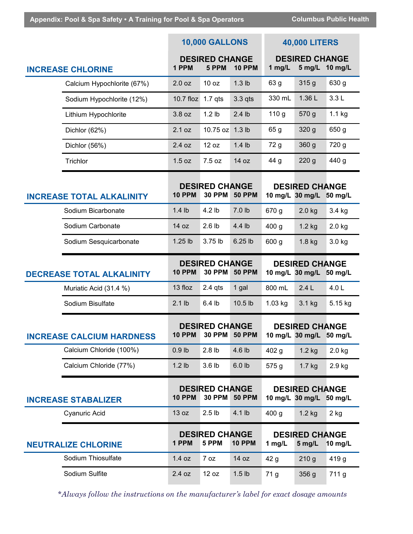|                                  |                            | <b>10,000 GALLONS</b>                                                    |                                | <b>40,000 LITERS</b>                                                                       |                  |                                 |                  |
|----------------------------------|----------------------------|--------------------------------------------------------------------------|--------------------------------|--------------------------------------------------------------------------------------------|------------------|---------------------------------|------------------|
| <b>INCREASE CHLORINE</b>         |                            | <b>DESIRED CHANGE</b><br>1 PPM<br>5 PPM<br><b>10 PPM</b>                 |                                | <b>DESIRED CHANGE</b><br>1 $mg/L$<br>5 mg/L 10 mg/L                                        |                  |                                 |                  |
|                                  | Calcium Hypochlorite (67%) | 2.0 oz                                                                   | 10 oz                          | $1.3$ lb                                                                                   | 63 g             | 315 g                           | 630 g            |
|                                  | Sodium Hypochlorite (12%)  | $10.7$ floz                                                              | $1.7$ qts                      | $3.3$ qts                                                                                  | 330 mL           | 1.36L                           | 3.3L             |
|                                  | Lithium Hypochlorite       | 3.8 oz                                                                   | 1.2 <sub>lb</sub>              | $2.4$ lb                                                                                   | 110 <sub>g</sub> | 570 g                           | $1.1$ kg         |
|                                  | Dichlor (62%)              | 2.1 oz                                                                   | 10.75 oz                       | $1.3$ lb                                                                                   | 65 g             | 320 g                           | 650 g            |
|                                  | Dichlor (56%)              | 2.4 oz                                                                   | 12 oz                          | $1.4$ lb                                                                                   | 72 g             | 360 g                           | 720 g            |
|                                  | Trichlor                   | 1.5 oz                                                                   | 7.5 oz                         | 14 oz                                                                                      | 44 g             | 220 <sub>g</sub>                | 440 g            |
| <b>INCREASE TOTAL ALKALINITY</b> |                            | <b>10 PPM</b>                                                            | <b>30 PPM</b>                  | <b>DESIRED CHANGE</b><br><b>DESIRED CHANGE</b><br><b>50 PPM</b><br>10 mg/L 30 mg/L 50 mg/L |                  |                                 |                  |
|                                  | Sodium Bicarbonate         | $1.4$ lb                                                                 | 4.2 lb                         | 7.0 lb                                                                                     | 670 g            | $2.0$ kg                        | 3.4 kg           |
|                                  | Sodium Carbonate           | 14 oz                                                                    | 2.6 <sub>lb</sub>              | 4.4 lb                                                                                     | 400 <sub>g</sub> | $1.2$ kg                        | $2.0$ kg         |
|                                  | Sodium Sesquicarbonate     | $1.25$ lb                                                                | 3.75 lb                        | 6.25 lb                                                                                    | 600 g            | $1.8$ kg                        | 3.0 kg           |
| <b>DECREASE TOTAL ALKALINITY</b> |                            | <b>DESIRED CHANGE</b><br><b>10 PPM</b><br><b>30 PPM</b><br><b>50 PPM</b> |                                | <b>DESIRED CHANGE</b><br>10 mg/L 30 mg/L 50 mg/L                                           |                  |                                 |                  |
|                                  | Muriatic Acid (31.4 %)     | 13 floz                                                                  | $2.4$ qts                      | 1 gal                                                                                      | 800 mL           | 2.4L                            | 4.0 <sub>L</sub> |
|                                  | Sodium Bisulfate           | 2.1 <sub>lb</sub>                                                        | 6.4 <sub>lb</sub>              | 10.5 lb                                                                                    | $1.03$ kg        | 3.1 kg                          | 5.15 kg          |
| <b>INCREASE CALCIUM HARDNESS</b> |                            | <b>DESIRED CHANGE</b><br><b>10 PPM</b><br><b>30 PPM</b><br><b>50 PPM</b> |                                | <b>DESIRED CHANGE</b><br>10 mg/L 30 mg/L 50 mg/L                                           |                  |                                 |                  |
|                                  | Calcium Chloride (100%)    | $0.9$ lb                                                                 | 2.8 <sub>lb</sub>              | 4.6 lb                                                                                     | 402 <sub>g</sub> | $1.2$ kg                        | $2.0$ kg         |
|                                  | Calcium Chloride (77%)     | $1.2$ lb                                                                 | 3.6 lb                         | 6.0 lb                                                                                     | 575 g            | $1.7$ kg                        | 2.9 kg           |
| <b>INCREASE STABALIZER</b>       |                            | <b>DESIRED CHANGE</b><br><b>10 PPM</b><br><b>30 PPM</b><br><b>50 PPM</b> |                                | <b>DESIRED CHANGE</b><br>10 mg/L 30 mg/L 50 mg/L                                           |                  |                                 |                  |
|                                  | Cyanuric Acid              | 13 oz                                                                    | 2.5 <sub>lb</sub>              | 4.1 lb                                                                                     | 400 <sub>g</sub> | $1.2$ kg                        | 2 kg             |
| <b>NEUTRALIZE CHLORINE</b>       |                            | 1 PPM                                                                    | <b>DESIRED CHANGE</b><br>5 PPM | <b>10 PPM</b>                                                                              | 1 mg/L           | <b>DESIRED CHANGE</b><br>5 mg/L | 10 mg/L          |
|                                  | Sodium Thiosulfate         | 1.4 oz                                                                   | 7 oz                           | 14 oz                                                                                      | 42 <sub>g</sub>  | 210 <sub>g</sub>                | 419 g            |
|                                  | Sodium Sulfite             | 2.4 oz                                                                   | 12 oz                          | 1.5 <sub>lb</sub>                                                                          | 71 g             | 356 g                           | 711 g            |

*\*Always follow the instructions on the manufacturer's label for exact dosage amounts*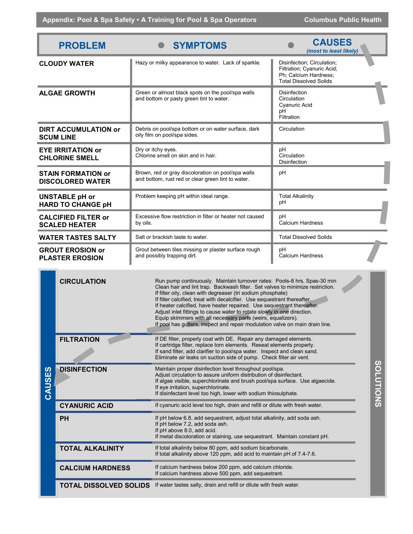| <b>PROBLEM</b>                                       |                                                                                                                                                                                                                                                                                                                                                                                                                                                                                                                                                                                                                                  | <b>SYMPTOMS</b>                                                                                                                                                                                                                                                                                                         | <b>CAUSES</b><br>(most to least likely)                                                                            |  |  |
|------------------------------------------------------|----------------------------------------------------------------------------------------------------------------------------------------------------------------------------------------------------------------------------------------------------------------------------------------------------------------------------------------------------------------------------------------------------------------------------------------------------------------------------------------------------------------------------------------------------------------------------------------------------------------------------------|-------------------------------------------------------------------------------------------------------------------------------------------------------------------------------------------------------------------------------------------------------------------------------------------------------------------------|--------------------------------------------------------------------------------------------------------------------|--|--|
| <b>CLOUDY WATER</b>                                  |                                                                                                                                                                                                                                                                                                                                                                                                                                                                                                                                                                                                                                  | Hazy or milky appearance to water. Lack of sparkle.                                                                                                                                                                                                                                                                     | Disinfection; Circulation;<br>Filtration; Cyanuric Acid;<br>Ph; Calcium Hardness;<br><b>Total Dissolved Solids</b> |  |  |
| <b>ALGAE GROWTH</b>                                  |                                                                                                                                                                                                                                                                                                                                                                                                                                                                                                                                                                                                                                  | Green or almost black spots on the pool/spa walls<br>and bottom or pasty green tint to water.                                                                                                                                                                                                                           | <b>Disinfection</b><br>Circulation<br>Cyanuric Acid<br>рH<br>Filtration                                            |  |  |
| <b>DIRT ACCUMULATION or</b><br><b>SCUM LINE</b>      |                                                                                                                                                                                                                                                                                                                                                                                                                                                                                                                                                                                                                                  | Debris on pool/spa bottom or on water surface, dark<br>oily film on pool/spa sides.                                                                                                                                                                                                                                     | Circulation                                                                                                        |  |  |
| <b>EYE IRRITATION or</b><br><b>CHLORINE SMELL</b>    |                                                                                                                                                                                                                                                                                                                                                                                                                                                                                                                                                                                                                                  | Dry or itchy eyes.<br>Chlorine smell on skin and in hair.                                                                                                                                                                                                                                                               | рH<br>Circulation<br>Disinfection                                                                                  |  |  |
| <b>STAIN FORMATION or</b><br><b>DISCOLORED WATER</b> |                                                                                                                                                                                                                                                                                                                                                                                                                                                                                                                                                                                                                                  | Brown, red or gray discoloration on pool/spa walls<br>and bottom, rust red or clear green tint to water.                                                                                                                                                                                                                | рH                                                                                                                 |  |  |
| <b>UNSTABLE pH or</b><br><b>HARD TO CHANGE pH</b>    |                                                                                                                                                                                                                                                                                                                                                                                                                                                                                                                                                                                                                                  | Problem keeping pH within ideal range.                                                                                                                                                                                                                                                                                  | <b>Total Alkalinity</b><br>рH                                                                                      |  |  |
| <b>CALCIFIED FILTER or</b><br><b>SCALED HEATER</b>   |                                                                                                                                                                                                                                                                                                                                                                                                                                                                                                                                                                                                                                  | Excessive flow restriction in filter or heater not caused<br>by oils.                                                                                                                                                                                                                                                   | рH<br>Calcium Hardness                                                                                             |  |  |
| <b>WATER TASTES SALTY</b>                            |                                                                                                                                                                                                                                                                                                                                                                                                                                                                                                                                                                                                                                  | Salt or brackish taste to water.                                                                                                                                                                                                                                                                                        | <b>Total Dissolved Solids</b>                                                                                      |  |  |
| <b>GROUT EROSION or</b><br><b>PLASTER EROSION</b>    |                                                                                                                                                                                                                                                                                                                                                                                                                                                                                                                                                                                                                                  | Grout between tiles missing or plaster surface rough<br>and possibly trapping dirt.                                                                                                                                                                                                                                     | рH<br>Calcium Hardness                                                                                             |  |  |
|                                                      | <b>CIRCULATION</b><br>Run pump continuously. Maintain turnover rates: Pools-8 hrs, Spas-30 min<br>Clean hair and lint trap. Backwash filter. Set valves to minimize restriction.<br>If filter oily, clean with degreaser (tri sodium phosphate)<br>If filter calcified, treat with decalcifier. Use sequestrant thereafter.<br>If heater calcified, have heater repaired. Use sequestrant thereafter.<br>Adjust inlet fittings to cause water to rotate slowly in one direction.<br>Equip skimmers with all necessary parts (weirs, equalizers).<br>If pool has gutters, inspect and repair modulation valve on main drain line. |                                                                                                                                                                                                                                                                                                                         |                                                                                                                    |  |  |
|                                                      | FILTRATION                                                                                                                                                                                                                                                                                                                                                                                                                                                                                                                                                                                                                       | If DE filter, properly coat with DE. Repair any damaged elements.<br>If cartridge filter, replace torn elements. Reseat elements properly.<br>If sand filter, add clarifier to pool/spa water. Inspect and clean sand.<br>Eliminate air leaks on suction side of pump. Check filter air vent.                           |                                                                                                                    |  |  |
| CAUSES                                               | <b>DISINFECTION</b>                                                                                                                                                                                                                                                                                                                                                                                                                                                                                                                                                                                                              | Maintain proper disinfection level throughout pool/spa.<br>Adjust circulation to assure uniform distribution of disinfectant.<br>If algae visible, superchlorinate and brush pool/spa surface. Use algaecide.<br>If eye irritation, superchlorinate.<br>If disinfectant level too high, lower with sodium thiosulphate. | SOLUTIONS                                                                                                          |  |  |
|                                                      | <b>CYANURIC ACID</b>                                                                                                                                                                                                                                                                                                                                                                                                                                                                                                                                                                                                             | If cyanuric acid level too high, drain and refill or dilute with fresh water.                                                                                                                                                                                                                                           |                                                                                                                    |  |  |
|                                                      | <b>PH</b>                                                                                                                                                                                                                                                                                                                                                                                                                                                                                                                                                                                                                        | If pH below 6.8, add sequestrant, adjust total alkalinity, add soda ash.<br>If pH below 7.2, add soda ash.<br>If pH above 8.0, add acid.<br>If metal discoloration or staining, use sequestrant. Maintain constant pH.                                                                                                  |                                                                                                                    |  |  |
|                                                      | <b>TOTAL ALKALINITY</b>                                                                                                                                                                                                                                                                                                                                                                                                                                                                                                                                                                                                          | If total alkalinity below 80 ppm, add sodium bicarbonate.<br>If total alkalinity above 120 ppm, add acid to maintain pH of 7.4-7.6.                                                                                                                                                                                     |                                                                                                                    |  |  |
|                                                      | <b>CALCIUM HARDNESS</b>                                                                                                                                                                                                                                                                                                                                                                                                                                                                                                                                                                                                          | If calcium hardness below 200 ppm, add calcium chloride.<br>If calcium hardness above 500 ppm, add sequestrant.                                                                                                                                                                                                         |                                                                                                                    |  |  |
|                                                      | <b>TOTAL DISSOLVED SOLIDS</b>                                                                                                                                                                                                                                                                                                                                                                                                                                                                                                                                                                                                    | If water tastes salty, drain and refill or dilute with fresh water.                                                                                                                                                                                                                                                     |                                                                                                                    |  |  |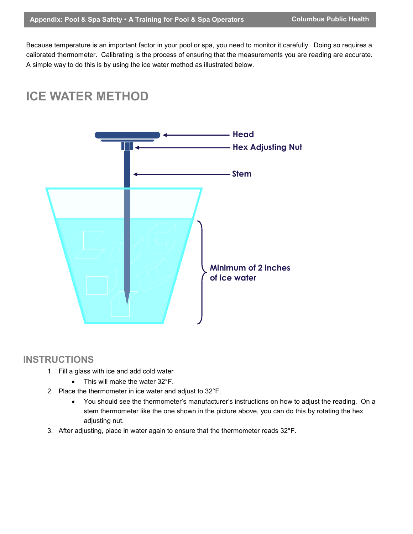Because temperature is an important factor in your pool or spa, you need to monitor it carefully. Doing so requires a calibrated thermometer. Calibrating is the process of ensuring that the measurements you are reading are accurate. A simple way to do this is by using the ice water method as illustrated below.

# **ICE WATER METHOD**



# **INSTRUCTIONS**

- 1. Fill a glass with ice and add cold water
	- This will make the water 32°F.
- 2. Place the thermometer in ice water and adjust to 32°F.
	- You should see the thermometer's manufacturer's instructions on how to adjust the reading. On a stem thermometer like the one shown in the picture above, you can do this by rotating the hex adjusting nut.
- 3. After adjusting, place in water again to ensure that the thermometer reads 32°F.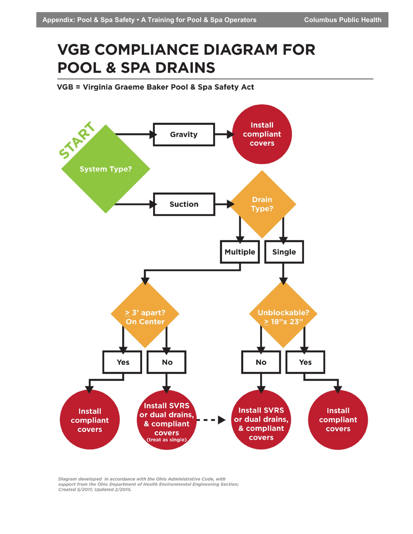# **VGB COMPLIANCE DIAGRAM FOR POOL & SPA DRAINS**

VGB = Virginia Graeme Baker Pool & Spa Safety Act



Diagram developed in accordance with the Ohio Administrative Code, with support from the Ohio Department of Health Environmental Engineering Section; Created 5/2011; Updated 2/2015.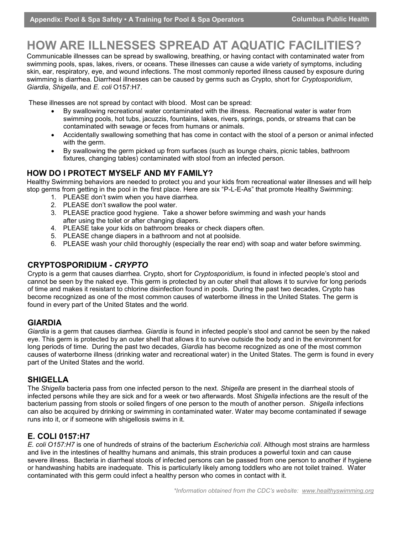# **HOW ARE ILLNESSES SPREAD AT AQUATIC FACILITIES?**

Communicable illnesses can be spread by swallowing, breathing, or having contact with contaminated water from swimming pools, spas, lakes, rivers, or oceans. These illnesses can cause a wide variety of symptoms, including skin, ear, respiratory, eye, and wound infections. The most commonly reported illness caused by exposure during swimming is diarrhea. Diarrheal illnesses can be caused by germs such as Crypto, short for *Cryptosporidium*, *Giardia*, *Shigella*, and *E. coli* O157:H7.

These illnesses are not spread by contact with blood. Most can be spread:

- By swallowing recreational water contaminated with the illness. Recreational water is water from swimming pools, hot tubs, jacuzzis, fountains, lakes, rivers, springs, ponds, or streams that can be contaminated with sewage or feces from humans or animals.
- Accidentally swallowing something that has come in contact with the stool of a person or animal infected with the germ.
- By swallowing the germ picked up from surfaces (such as lounge chairs, picnic tables, bathroom fixtures, changing tables) contaminated with stool from an infected person.

#### **HOW DO I PROTECT MYSELF AND MY FAMILY?**

Healthy Swimming behaviors are needed to protect you and your kids from recreational water illnesses and will help stop germs from getting in the pool in the first place. Here are six "P-L-E-As" that promote Healthy Swimming:

- 1. PLEASE don't swim when you have diarrhea.
- 2. PLEASE don't swallow the pool water.
- 3. PLEASE practice good hygiene. Take a shower before swimming and wash your hands after using the toilet or after changing diapers.
- 4. PLEASE take your kids on bathroom breaks or check diapers often.
- 5. PLEASE change diapers in a bathroom and not at poolside.
- 6. PLEASE wash your child thoroughly (especially the rear end) with soap and water before swimming.

#### **CRYPTOSPORIDIUM -** *CRYPTO*

Crypto is a germ that causes diarrhea. Crypto, short for *Cryptosporidium*, is found in infected people's stool and cannot be seen by the naked eye. This germ is protected by an outer shell that allows it to survive for long periods of time and makes it resistant to chlorine disinfection found in pools. During the past two decades, Crypto has become recognized as one of the most common causes of waterborne illness in the United States. The germ is found in every part of the United States and the world.

#### **GIARDIA**

*Giardia* is a germ that causes diarrhea. *Giardia* is found in infected people's stool and cannot be seen by the naked eye. This germ is protected by an outer shell that allows it to survive outside the body and in the environment for long periods of time. During the past two decades, *Giardia* has become recognized as one of the most common causes of waterborne illness (drinking water and recreational water) in the United States. The germ is found in every part of the United States and the world.

#### **SHIGELLA**

The *Shigella* bacteria pass from one infected person to the next. *Shigella* are present in the diarrheal stools of infected persons while they are sick and for a week or two afterwards. Most *Shigella* infections are the result of the bacterium passing from stools or soiled fingers of one person to the mouth of another person. *Shigella* infections can also be acquired by drinking or swimming in contaminated water. Water may become contaminated if sewage runs into it, or if someone with shigellosis swims in it.

#### **E. COLI 0157:H7**

*E. coli O157:H7* is one of hundreds of strains of the bacterium *Escherichia coli*. Although most strains are harmless and live in the intestines of healthy humans and animals, this strain produces a powerful toxin and can cause severe illness. Bacteria in diarrheal stools of infected persons can be passed from one person to another if hygiene or handwashing habits are inadequate. This is particularly likely among toddlers who are not toilet trained. Water contaminated with this germ could infect a healthy person who comes in contact with it.